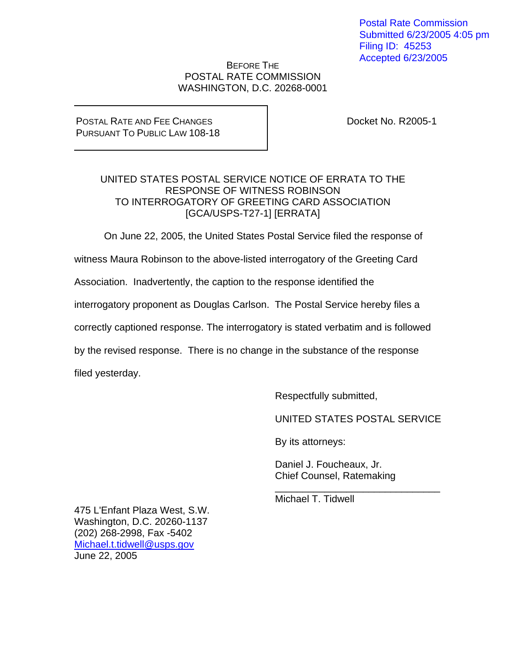Postal Rate Commission Submitted 6/23/2005 4:05 pm Filing ID: 45253 Accepted 6/23/2005

### BEFORE THE POSTAL RATE COMMISSION WASHINGTON, D.C. 20268-0001

#### POSTAL RATE AND FEE CHANGES PURSUANT TO PUBLIC LAW 108-18

Docket No. R2005-1

## UNITED STATES POSTAL SERVICE NOTICE OF ERRATA TO THE RESPONSE OF WITNESS ROBINSON TO INTERROGATORY OF GREETING CARD ASSOCIATION [GCA/USPS-T27-1] [ERRATA]

On June 22, 2005, the United States Postal Service filed the response of

witness Maura Robinson to the above-listed interrogatory of the Greeting Card

Association. Inadvertently, the caption to the response identified the

interrogatory proponent as Douglas Carlson. The Postal Service hereby files a

correctly captioned response. The interrogatory is stated verbatim and is followed

 $\frac{1}{\sqrt{2\pi}}$  ,  $\frac{1}{\sqrt{2\pi}}$  ,  $\frac{1}{\sqrt{2\pi}}$  ,  $\frac{1}{\sqrt{2\pi}}$  ,  $\frac{1}{\sqrt{2\pi}}$  ,  $\frac{1}{\sqrt{2\pi}}$  ,  $\frac{1}{\sqrt{2\pi}}$  ,  $\frac{1}{\sqrt{2\pi}}$  ,  $\frac{1}{\sqrt{2\pi}}$  ,  $\frac{1}{\sqrt{2\pi}}$  ,  $\frac{1}{\sqrt{2\pi}}$  ,  $\frac{1}{\sqrt{2\pi}}$  ,  $\frac{1}{\sqrt{2\pi}}$  ,

by the revised response. There is no change in the substance of the response

filed yesterday.

Respectfully submitted,

UNITED STATES POSTAL SERVICE

By its attorneys:

 Daniel J. Foucheaux, Jr. Chief Counsel, Ratemaking

Michael T. Tidwell

475 L'Enfant Plaza West, S.W. Washington, D.C. 20260-1137 (202) 268-2998, Fax -5402 Michael.t.tidwell@usps.gov June 22, 2005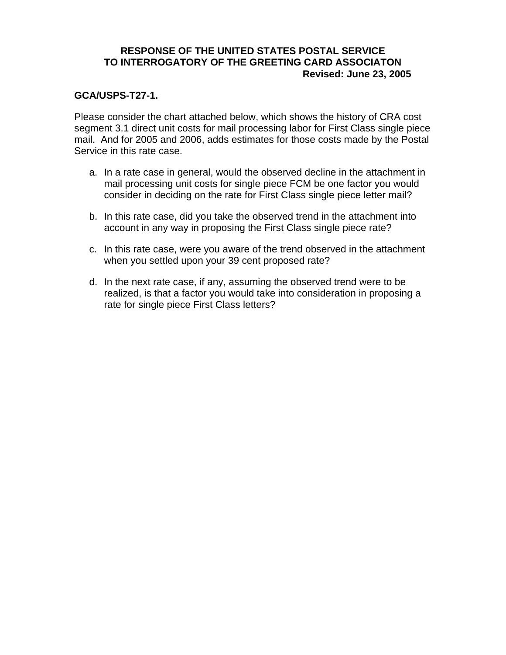## **RESPONSE OF THE UNITED STATES POSTAL SERVICE TO INTERROGATORY OF THE GREETING CARD ASSOCIATON Revised: June 23, 2005**

### **GCA/USPS-T27-1.**

Please consider the chart attached below, which shows the history of CRA cost segment 3.1 direct unit costs for mail processing labor for First Class single piece mail. And for 2005 and 2006, adds estimates for those costs made by the Postal Service in this rate case.

- a. In a rate case in general, would the observed decline in the attachment in mail processing unit costs for single piece FCM be one factor you would consider in deciding on the rate for First Class single piece letter mail?
- b. In this rate case, did you take the observed trend in the attachment into account in any way in proposing the First Class single piece rate?
- c. In this rate case, were you aware of the trend observed in the attachment when you settled upon your 39 cent proposed rate?
- d. In the next rate case, if any, assuming the observed trend were to be realized, is that a factor you would take into consideration in proposing a rate for single piece First Class letters?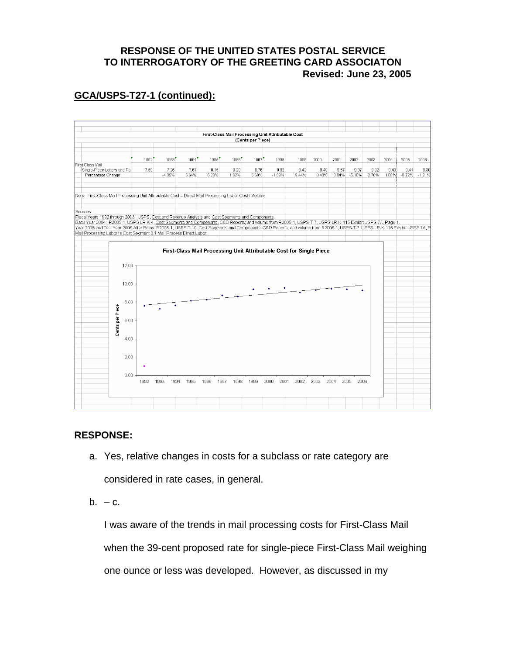# **RESPONSE OF THE UNITED STATES POSTAL SERVICE TO INTERROGATORY OF THE GREETING CARD ASSOCIATON Revised: June 23, 2005**

# **GCA/USPS-T27-1 (continued):**



#### **RESPONSE:**

a. Yes, relative changes in costs for a subclass or rate category are

considered in rate cases, in general.

 $b. - c.$ 

I was aware of the trends in mail processing costs for First-Class Mail when the 39-cent proposed rate for single-piece First-Class Mail weighing one ounce or less was developed. However, as discussed in my